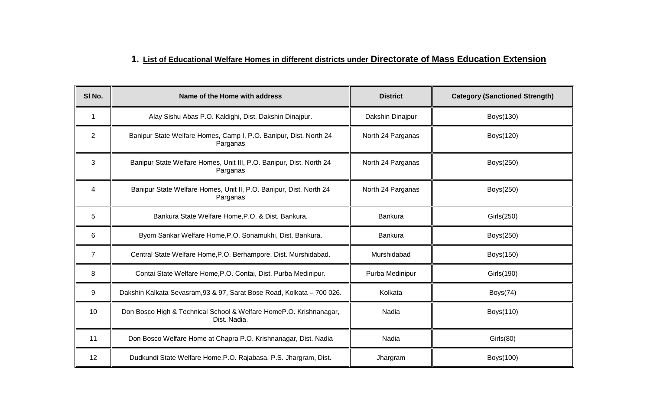## **1. List of Educational Welfare Homes in different districts under Directorate of Mass Education Extension**

 $\overline{\phantom{a}}$ 

| SI No.         | Name of the Home with address                                                      | <b>District</b>   | <b>Category (Sanctioned Strength)</b> |
|----------------|------------------------------------------------------------------------------------|-------------------|---------------------------------------|
| 1              | Alay Sishu Abas P.O. Kaldighi, Dist. Dakshin Dinajpur.                             | Dakshin Dinajpur  | Boys(130)                             |
| $\overline{2}$ | Banipur State Welfare Homes, Camp I, P.O. Banipur, Dist. North 24<br>Parganas      | North 24 Parganas | Boys(120)                             |
| 3              | Banipur State Welfare Homes, Unit III, P.O. Banipur, Dist. North 24<br>Parganas    | North 24 Parganas | Boys(250)                             |
| 4              | Banipur State Welfare Homes, Unit II, P.O. Banipur, Dist. North 24<br>Parganas     | North 24 Parganas | Boys(250)                             |
| 5              | Bankura State Welfare Home, P.O. & Dist. Bankura.                                  | <b>Bankura</b>    | Girls(250)                            |
| 6              | Byom Sankar Welfare Home, P.O. Sonamukhi, Dist. Bankura.                           | Bankura           | Boys(250)                             |
| 7              | Central State Welfare Home, P.O. Berhampore, Dist. Murshidabad.                    | Murshidabad       | Boys(150)                             |
| 8              | Contai State Welfare Home, P.O. Contai, Dist. Purba Medinipur.                     | Purba Medinipur   | Girls(190)                            |
| 9              | Dakshin Kalkata Sevasram, 93 & 97, Sarat Bose Road, Kolkata - 700 026.             | Kolkata           | Boys(74)                              |
| 10             | Don Bosco High & Technical School & Welfare HomeP.O. Krishnanagar,<br>Dist. Nadia. | Nadia             | Boys(110)                             |
| 11             | Don Bosco Welfare Home at Chapra P.O. Krishnanagar, Dist. Nadia                    | Nadia             | Girls(80)                             |
| 12             | Dudkundi State Welfare Home, P.O. Rajabasa, P.S. Jhargram, Dist.                   | Jhargram          | Boys(100)                             |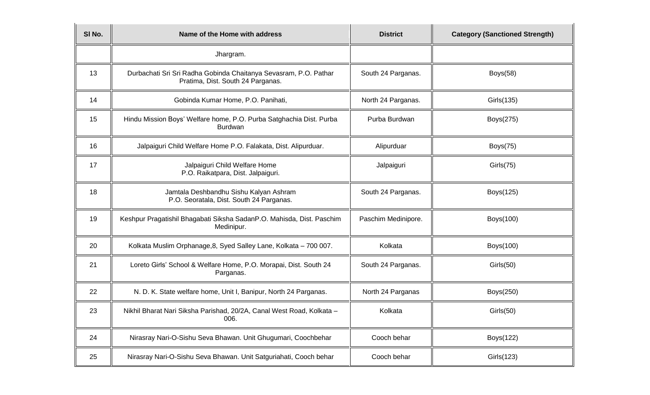| SI <sub>No.</sub> | Name of the Home with address                                                                         | <b>District</b>     | <b>Category (Sanctioned Strength)</b> |
|-------------------|-------------------------------------------------------------------------------------------------------|---------------------|---------------------------------------|
|                   | Jhargram.                                                                                             |                     |                                       |
| 13                | Durbachati Sri Sri Radha Gobinda Chaitanya Sevasram, P.O. Pathar<br>Pratima, Dist. South 24 Parganas. | South 24 Parganas.  | Boys(58)                              |
| 14                | Gobinda Kumar Home, P.O. Panihati,                                                                    | North 24 Parganas.  | Girls(135)                            |
| 15                | Hindu Mission Boys' Welfare home, P.O. Purba Satghachia Dist. Purba<br><b>Burdwan</b>                 | Purba Burdwan       | Boys(275)                             |
| 16                | Jalpaiguri Child Welfare Home P.O. Falakata, Dist. Alipurduar.                                        | Alipurduar          | Boys $(75)$                           |
| 17                | Jalpaiguri Child Welfare Home<br>P.O. Raikatpara, Dist. Jalpaiguri.                                   | Jalpaiguri          | Girls(75)                             |
| 18                | Jamtala Deshbandhu Sishu Kalyan Ashram<br>P.O. Seoratala, Dist. South 24 Parganas.                    | South 24 Parganas.  | Boys(125)                             |
| 19                | Keshpur Pragatishil Bhagabati Siksha SadanP.O. Mahisda, Dist. Paschim<br>Medinipur.                   | Paschim Medinipore. | Boys(100)                             |
| 20                | Kolkata Muslim Orphanage, 8, Syed Salley Lane, Kolkata - 700 007.                                     | Kolkata             | Boys(100)                             |
| 21                | Loreto Girls' School & Welfare Home, P.O. Morapai, Dist. South 24<br>Parganas.                        | South 24 Parganas.  | Girls(50)                             |
| 22                | N. D. K. State welfare home, Unit I, Banipur, North 24 Parganas.                                      | North 24 Parganas   | Boys(250)                             |
| 23                | Nikhil Bharat Nari Siksha Parishad, 20/2A, Canal West Road, Kolkata -<br>006.                         | Kolkata             | Girls(50)                             |
| 24                | Nirasray Nari-O-Sishu Seva Bhawan. Unit Ghugumari, Coochbehar                                         | Cooch behar         | Boys(122)                             |
| 25                | Nirasray Nari-O-Sishu Seva Bhawan. Unit Satguriahati, Cooch behar                                     | Cooch behar         | Girls(123)                            |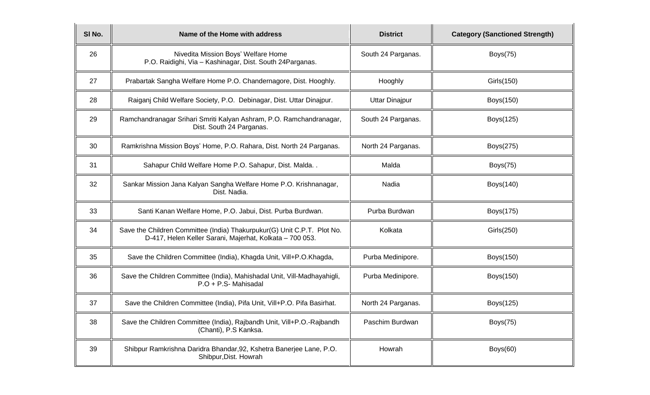| SI No. | Name of the Home with address                                                                                                       | <b>District</b>    | <b>Category (Sanctioned Strength)</b> |
|--------|-------------------------------------------------------------------------------------------------------------------------------------|--------------------|---------------------------------------|
| 26     | Nivedita Mission Boys' Welfare Home<br>P.O. Raidighi, Via - Kashinagar, Dist. South 24 Parganas.                                    | South 24 Parganas. | Boys(75)                              |
| 27     | Prabartak Sangha Welfare Home P.O. Chandernagore, Dist. Hooghly.                                                                    | Hooghly            | Girls(150)                            |
| 28     | Raiganj Child Welfare Society, P.O. Debinagar, Dist. Uttar Dinajpur.                                                                | Uttar Dinajpur     | Boys(150)                             |
| 29     | Ramchandranagar Srihari Smriti Kalyan Ashram, P.O. Ramchandranagar,<br>Dist. South 24 Parganas.                                     | South 24 Parganas. | Boys(125)                             |
| 30     | Ramkrishna Mission Boys' Home, P.O. Rahara, Dist. North 24 Parganas.                                                                | North 24 Parganas. | Boys(275)                             |
| 31     | Sahapur Child Welfare Home P.O. Sahapur, Dist. Malda                                                                                | Malda              | Boys(75)                              |
| 32     | Sankar Mission Jana Kalyan Sangha Welfare Home P.O. Krishnanagar,<br>Dist. Nadia.                                                   | Nadia              | Boys(140)                             |
| 33     | Santi Kanan Welfare Home, P.O. Jabui, Dist. Purba Burdwan.                                                                          | Purba Burdwan      | Boys(175)                             |
| 34     | Save the Children Committee (India) Thakurpukur(G) Unit C.P.T. Plot No.<br>D-417, Helen Keller Sarani, Majerhat, Kolkata - 700 053. | Kolkata            | Girls(250)                            |
| 35     | Save the Children Committee (India), Khagda Unit, Vill+P.O.Khagda,                                                                  | Purba Medinipore.  | Boys(150)                             |
| 36     | Save the Children Committee (India), Mahishadal Unit, Vill-Madhayahigli,<br>P.O + P.S- Mahisadal                                    | Purba Medinipore.  | Boys(150)                             |
| 37     | Save the Children Committee (India), Pifa Unit, Vill+P.O. Pifa Basirhat.                                                            | North 24 Parganas. | Boys(125)                             |
| 38     | Save the Children Committee (India), Rajbandh Unit, Vill+P.O.-Rajbandh<br>(Chanti), P.S Kanksa.                                     | Paschim Burdwan    | Boys(75)                              |
| 39     | Shibpur Ramkrishna Daridra Bhandar, 92, Kshetra Banerjee Lane, P.O.<br>Shibpur, Dist. Howrah                                        | Howrah             | Boys(60)                              |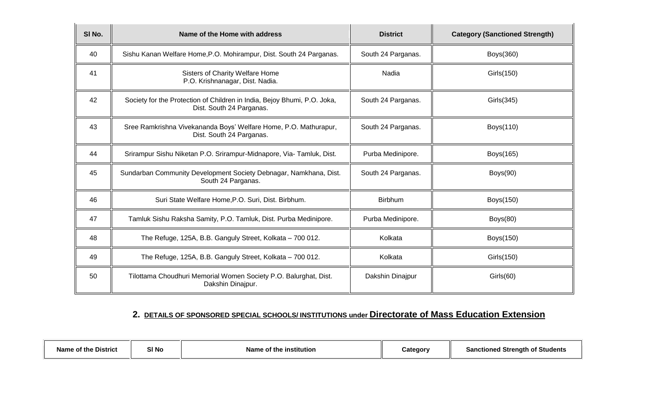| SI No. | Name of the Home with address                                                                        | <b>District</b>    | <b>Category (Sanctioned Strength)</b> |
|--------|------------------------------------------------------------------------------------------------------|--------------------|---------------------------------------|
| 40     | Sishu Kanan Welfare Home, P.O. Mohirampur, Dist. South 24 Parganas.                                  | South 24 Parganas. | Boys(360)                             |
| 41     | Sisters of Charity Welfare Home<br>P.O. Krishnanagar, Dist. Nadia.                                   | Nadia              | Girls(150)                            |
| 42     | Society for the Protection of Children in India, Bejoy Bhumi, P.O. Joka,<br>Dist. South 24 Parganas. | South 24 Parganas. | Girls(345)                            |
| 43     | Sree Ramkrishna Vivekananda Boys' Welfare Home, P.O. Mathurapur,<br>Dist. South 24 Parganas.         | South 24 Parganas. | Boys(110)                             |
| 44     | Srirampur Sishu Niketan P.O. Srirampur-Midnapore, Via- Tamluk, Dist.                                 | Purba Medinipore.  | Boys(165)                             |
| 45     | Sundarban Community Development Society Debnagar, Namkhana, Dist.<br>South 24 Parganas.              | South 24 Parganas. | Boys(90)                              |
| 46     | Suri State Welfare Home, P.O. Suri, Dist. Birbhum.                                                   | <b>Birbhum</b>     | Boys(150)                             |
| 47     | Tamluk Sishu Raksha Samity, P.O. Tamluk, Dist. Purba Medinipore.                                     | Purba Medinipore.  | Boys $(80)$                           |
| 48     | The Refuge, 125A, B.B. Ganguly Street, Kolkata - 700 012.                                            | Kolkata            | Boys(150)                             |
| 49     | The Refuge, 125A, B.B. Ganguly Street, Kolkata - 700 012.                                            | Kolkata            | Girls(150)                            |
| 50     | Tilottama Choudhuri Memorial Women Society P.O. Balurghat, Dist.<br>Dakshin Dinajpur.                | Dakshin Dinajpur   | Girls(60)                             |

# **2. DETAILS OF SPONSORED SPECIAL SCHOOLS/ INSTITUTIONS under Directorate of Mass Education Extension**

| District<br>⊣Name<br>tne<br>OT. | SI <sub>No</sub> | ∖ institution<br>Name<br>െ<br>me | ategory | ' Strenath of<br><b>Students</b><br>₹on.<br>tioned: |
|---------------------------------|------------------|----------------------------------|---------|-----------------------------------------------------|
|---------------------------------|------------------|----------------------------------|---------|-----------------------------------------------------|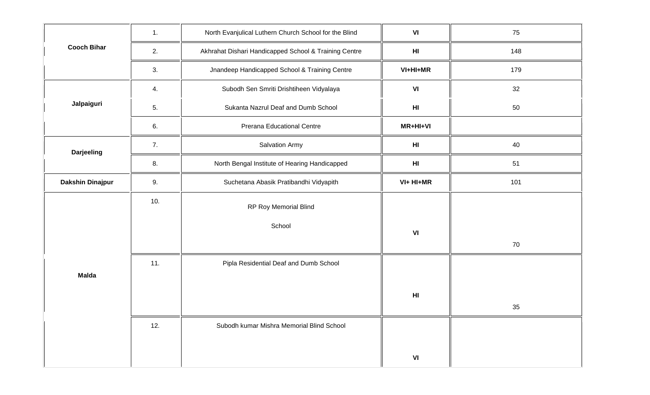|                    | 1.                         | North Evanjulical Luthern Church School for the Blind | VI                     | 75  |
|--------------------|----------------------------|-------------------------------------------------------|------------------------|-----|
| <b>Cooch Bihar</b> | 2.                         | Akhrahat Dishari Handicapped School & Training Centre | H <sub>II</sub>        | 148 |
|                    | 3.                         | Jnandeep Handicapped School & Training Centre         | VI+HI+MR               | 179 |
|                    | 4.                         | Subodh Sen Smriti Drishtiheen Vidyalaya               | VI                     | 32  |
| Jalpaiguri         | 5.                         | Sukanta Nazrul Deaf and Dumb School                   | H <sub>II</sub>        | 50  |
|                    | 6.                         | Prerana Educational Centre                            | MR+HI+VI               |     |
| <b>Darjeeling</b>  | HI<br>7.<br>Salvation Army |                                                       |                        | 40  |
|                    | 8.                         | North Bengal Institute of Hearing Handicapped         | $\mathsf{H}\mathsf{I}$ | 51  |
| Dakshin Dinajpur   | 9.                         | Suchetana Abasik Pratibandhi Vidyapith                | VI+ HI+MR              | 101 |
|                    | 10.                        | RP Roy Memorial Blind                                 |                        |     |
|                    |                            | School                                                | VI                     | 70  |
| <b>Malda</b>       | 11.                        | Pipla Residential Deaf and Dumb School                | H <sub>l</sub>         | 35  |
|                    | 12.                        | Subodh kumar Mishra Memorial Blind School             | VI                     |     |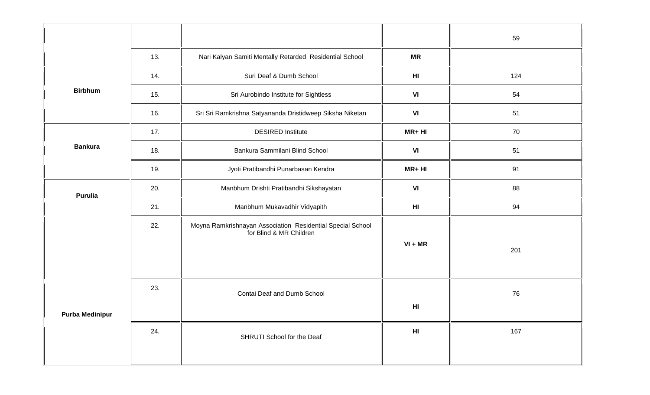|                        |                                                                |                                                                                       |                        | 59  |
|------------------------|----------------------------------------------------------------|---------------------------------------------------------------------------------------|------------------------|-----|
|                        | 13.<br>Nari Kalyan Samiti Mentally Retarded Residential School |                                                                                       | <b>MR</b>              |     |
|                        | 14.                                                            | Suri Deaf & Dumb School                                                               | H <sub>II</sub>        | 124 |
| <b>Birbhum</b>         | 15.                                                            | Sri Aurobindo Institute for Sightless                                                 | VI                     | 54  |
|                        | 16.                                                            | Sri Sri Ramkrishna Satyananda Dristidweep Siksha Niketan                              | VI                     | 51  |
|                        | 17.                                                            | <b>DESIRED Institute</b>                                                              | MR+HI                  | 70  |
| <b>Bankura</b>         | 18.                                                            | Bankura Sammilani Blind School                                                        | VI                     | 51  |
|                        | 19.                                                            | Jyoti Pratibandhi Punarbasan Kendra                                                   | MR+HI                  | 91  |
| <b>Purulia</b>         | 20.                                                            | Manbhum Drishti Pratibandhi Sikshayatan                                               | VI                     | 88  |
|                        | 21.                                                            | Manbhum Mukavadhir Vidyapith                                                          | HI                     | 94  |
|                        | 22.                                                            | Moyna Ramkrishnayan Association Residential Special School<br>for Blind & MR Children | $VI + MR$              | 201 |
| <b>Purba Medinipur</b> | 23.                                                            | Contai Deaf and Dumb School                                                           | HI                     | 76  |
|                        | 24.                                                            | SHRUTI School for the Deaf                                                            | $\mathsf{H}\mathsf{I}$ | 167 |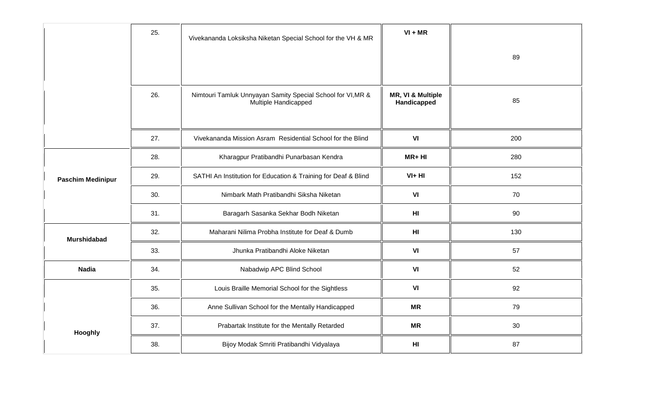|                                                  | 25. | Vivekananda Loksiksha Niketan Special School for the VH & MR                        | $VI + MR$                        |     |
|--------------------------------------------------|-----|-------------------------------------------------------------------------------------|----------------------------------|-----|
|                                                  |     |                                                                                     |                                  | 89  |
|                                                  |     |                                                                                     |                                  |     |
|                                                  | 26. | Nimtouri Tamluk Unnyayan Samity Special School for VI, MR &<br>Multiple Handicapped | MR, VI & Multiple<br>Handicapped | 85  |
|                                                  | 27. | Vivekananda Mission Asram Residential School for the Blind                          | VI                               | 200 |
|                                                  | 28. | Kharagpur Pratibandhi Punarbasan Kendra                                             | MR+HI                            | 280 |
| <b>Paschim Medinipur</b>                         | 29. | SATHI An Institution for Education & Training for Deaf & Blind                      | $VI+HI$                          | 152 |
|                                                  | 30. | Nimbark Math Pratibandhi Siksha Niketan                                             | VI                               | 70  |
|                                                  | 31. | Baragarh Sasanka Sekhar Bodh Niketan                                                | HI                               | 90  |
| <b>Murshidabad</b>                               | 32. | Maharani Nilima Probha Institute for Deaf & Dumb                                    | HI                               | 130 |
|                                                  | 33. | Jhunka Pratibandhi Aloke Niketan                                                    | VI                               | 57  |
| <b>Nadia</b><br>34.<br>Nabadwip APC Blind School |     |                                                                                     | VI                               | 52  |
|                                                  | 35. | Louis Braille Memorial School for the Sightless                                     | VI                               | 92  |
|                                                  | 36. | Anne Sullivan School for the Mentally Handicapped                                   | <b>MR</b>                        | 79  |
| Hooghly                                          | 37. | Prabartak Institute for the Mentally Retarded                                       | <b>MR</b>                        | 30  |
|                                                  | 38. | Bijoy Modak Smriti Pratibandhi Vidyalaya                                            | H <sub>II</sub>                  | 87  |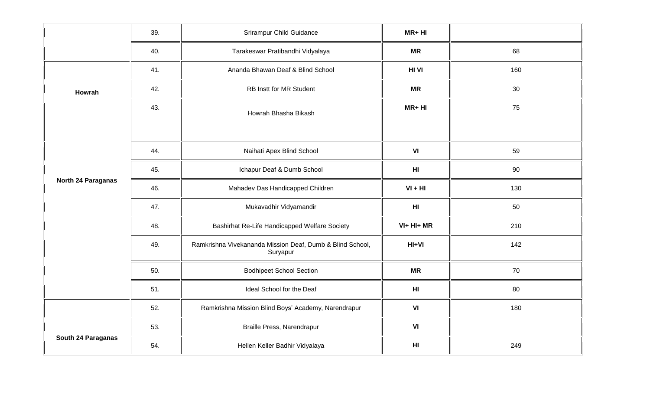|                    | 39.                                     | Srirampur Child Guidance                                              | MR+HI           |     |
|--------------------|-----------------------------------------|-----------------------------------------------------------------------|-----------------|-----|
|                    | 40.<br>Tarakeswar Pratibandhi Vidyalaya |                                                                       | <b>MR</b>       | 68  |
|                    | 41.                                     | Ananda Bhawan Deaf & Blind School                                     | HI VI           | 160 |
| Howrah             | 42.                                     | RB Instt for MR Student                                               | <b>MR</b>       | 30  |
|                    | 43.                                     | Howrah Bhasha Bikash                                                  | MR+HI           | 75  |
|                    |                                         |                                                                       |                 |     |
|                    | 44.                                     | Naihati Apex Blind School                                             | VI              | 59  |
| North 24 Paraganas | 45.                                     | Ichapur Deaf & Dumb School                                            | H <sub>II</sub> | 90  |
|                    | 46.                                     | Mahadev Das Handicapped Children                                      | $VI + HI$       | 130 |
|                    | 47.                                     | Mukavadhir Vidyamandir                                                | H <sub>II</sub> | 50  |
|                    | 48.                                     | Bashirhat Re-Life Handicapped Welfare Society                         | $VI+HI+MR$      | 210 |
|                    | 49.                                     | Ramkrishna Vivekananda Mission Deaf, Dumb & Blind School,<br>Suryapur | $HI+VI$         | 142 |
|                    | 50.                                     | <b>Bodhipeet School Section</b>                                       | <b>MR</b>       | 70  |
|                    | 51.                                     | Ideal School for the Deaf                                             | H <sub>II</sub> | 80  |
|                    | 52.                                     | Ramkrishna Mission Blind Boys' Academy, Narendrapur                   | VI              | 180 |
|                    | 53.                                     | Braille Press, Narendrapur                                            | VI              |     |
| South 24 Paraganas | 54.                                     | Hellen Keller Badhir Vidyalaya                                        | H <sub>II</sub> | 249 |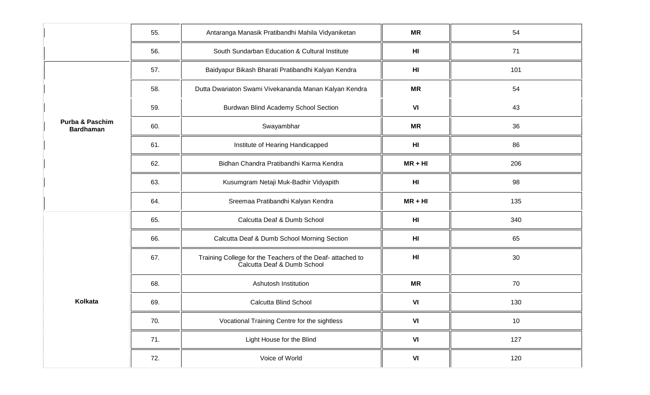|                                                       | 55. | Antaranga Manasik Pratibandhi Mahila Vidyaniketan                                         |                 | 54  |
|-------------------------------------------------------|-----|-------------------------------------------------------------------------------------------|-----------------|-----|
| South Sundarban Education & Cultural Institute<br>56. |     | HI                                                                                        | 71              |     |
|                                                       | 57. | Baidyapur Bikash Bharati Pratibandhi Kalyan Kendra                                        | H <sub>II</sub> | 101 |
|                                                       | 58. | Dutta Dwariaton Swami Vivekananda Manan Kalyan Kendra                                     | <b>MR</b>       | 54  |
|                                                       | 59. | Burdwan Blind Academy School Section                                                      | VI              | 43  |
| <b>Purba &amp; Paschim</b><br><b>Bardhaman</b>        | 60. | Swayambhar                                                                                | <b>MR</b>       | 36  |
|                                                       | 61. | Institute of Hearing Handicapped                                                          | H <sub>II</sub> | 86  |
|                                                       | 62. | Bidhan Chandra Pratibandhi Karma Kendra                                                   | $MR + HI$       | 206 |
|                                                       | 63. | Kusumgram Netaji Muk-Badhir Vidyapith                                                     | H <sub>II</sub> | 98  |
|                                                       | 64. | Sreemaa Pratibandhi Kalyan Kendra                                                         | $MR + HI$       | 135 |
|                                                       | 65. | Calcutta Deaf & Dumb School                                                               | H <sub>II</sub> | 340 |
|                                                       | 66. | Calcutta Deaf & Dumb School Morning Section                                               | H <sub>II</sub> | 65  |
|                                                       | 67. | Training College for the Teachers of the Deaf- attached to<br>Calcutta Deaf & Dumb School | H <sub>II</sub> | 30  |
|                                                       | 68. | Ashutosh Institution                                                                      | <b>MR</b>       | 70  |
| Kolkata                                               | 69. | Calcutta Blind School                                                                     | VI              | 130 |
|                                                       | 70. | Vocational Training Centre for the sightless                                              | VI              | 10  |
|                                                       | 71. | Light House for the Blind                                                                 | VI              | 127 |
|                                                       | 72. | Voice of World                                                                            | VI              | 120 |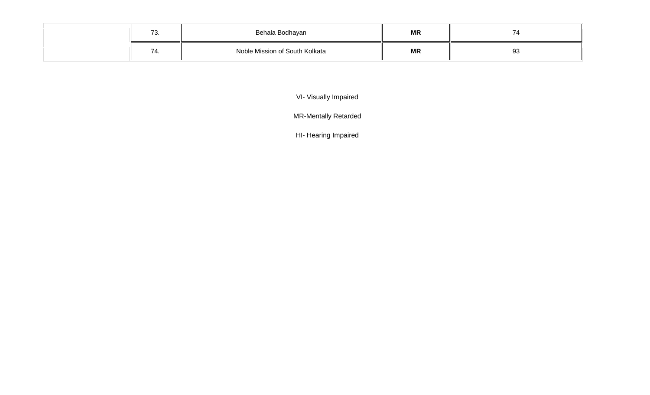| $\overline{\phantom{a}}$<br>. | Behala Bodhayan                | <b>MR</b> |          |
|-------------------------------|--------------------------------|-----------|----------|
| .                             | Noble Mission of South Kolkata | <b>MR</b> | ۵Q<br>ືບ |

VI- Visually Impaired

MR-Mentally Retarded

HI- Hearing Impaired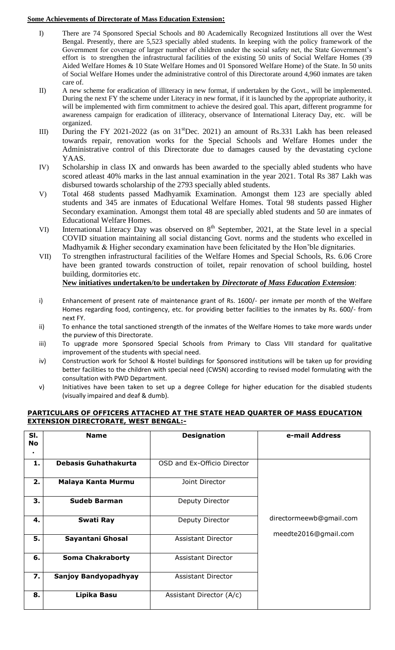#### **Some Achievements of Directorate of Mass Education Extension:**

- I) There are 74 Sponsored Special Schools and 80 Academically Recognized Institutions all over the West Bengal. Presently, there are 5,523 specially abled students. In keeping with the policy framework of the Government for coverage of larger number of children under the social safety net, the State Government's effort is to strengthen the infrastructural facilities of the existing 50 units of Social Welfare Homes (39 Aided Welfare Homes & 10 State Welfare Homes and 01 Sponsored Welfare Home) of the State. In 50 units of Social Welfare Homes under the administrative control of this Directorate around 4,960 inmates are taken care of.
- II) A new scheme for eradication of illiteracy in new format, if undertaken by the Govt., will be implemented. During the next FY the scheme under Literacy in new format, if it is launched by the appropriate authority, it will be implemented with firm commitment to achieve the desired goal. This apart, different programme for awareness campaign for eradication of illiteracy, observance of International Literacy Day, etc. will be organized.
- III) During the FY 2021-2022 (as on  $31<sup>st</sup>$ Dec. 2021) an amount of Rs.331 Lakh has been released towards repair, renovation works for the Special Schools and Welfare Homes under the Administrative control of this Directorate due to damages caused by the devastating cyclone YAAS.
- IV) Scholarship in class IX and onwards has been awarded to the specially abled students who have scored atleast 40% marks in the last annual examination in the year 2021. Total Rs 387 Lakh was disbursed towards scholarship of the 2793 specially abled students.
- V) Total 468 students passed Madhyamik Examination. Amongst them 123 are specially abled students and 345 are inmates of Educational Welfare Homes. Total 98 students passed Higher Secondary examination. Amongst them total 48 are specially abled students and 50 are inmates of Educational Welfare Homes.
- VI) International Literacy Day was observed on  $8<sup>th</sup>$  September, 2021, at the State level in a special COVID situation maintaining all social distancing Govt. norms and the students who excelled in Madhyamik & Higher secondary examination have been felicitated by the Hon'ble dignitaries.
- VII) To strengthen infrastructural facilities of the Welfare Homes and Special Schools, Rs. 6.06 Crore have been granted towards construction of toilet, repair renovation of school building, hostel building, dormitories etc.

#### **New initiatives undertaken/to be undertaken by** *Directorate of Mass Education Extension*:

- i) Enhancement of present rate of maintenance grant of Rs. 1600/- per inmate per month of the Welfare Homes regarding food, contingency, etc. for providing better facilities to the inmates by Rs. 600/- from next FY.
- ii) To enhance the total sanctioned strength of the inmates of the Welfare Homes to take more wards under the purview of this Directorate.
- iii) To upgrade more Sponsored Special Schools from Primary to Class VIII standard for qualitative improvement of the students with special need.
- iv) Construction work for School & Hostel buildings for Sponsored institutions will be taken up for providing better facilities to the children with special need (CWSN) according to revised model formulating with the consultation with PWD Department.
- v) Initiatives have been taken to set up a degree College for higher education for the disabled students (visually impaired and deaf & dumb).

#### **PARTICULARS OF OFFICERS ATTACHED AT THE STATE HEAD QUARTER OF MASS EDUCATION EXTENSION DIRECTORATE, WEST BENGAL:-**

| SI. | <b>Name</b>                 | <b>Designation</b>          | e-mail Address                                  |
|-----|-----------------------------|-----------------------------|-------------------------------------------------|
| No  |                             |                             |                                                 |
|     |                             |                             |                                                 |
| 1.  | <b>Debasis Guhathakurta</b> | OSD and Ex-Officio Director |                                                 |
| 2.  | Malaya Kanta Murmu          | Joint Director              |                                                 |
| 3.  | <b>Sudeb Barman</b>         | Deputy Director             |                                                 |
| 4.  | <b>Swati Ray</b>            | Deputy Director             | directormeewb@gmail.com<br>meedte2016@gmail.com |
| 5.  | Sayantani Ghosal            | <b>Assistant Director</b>   |                                                 |
| 6.  | <b>Soma Chakraborty</b>     | <b>Assistant Director</b>   |                                                 |
| 7.  | <b>Sanjoy Bandyopadhyay</b> | Assistant Director          |                                                 |
| 8.  | Lipika Basu                 | Assistant Director (A/c)    |                                                 |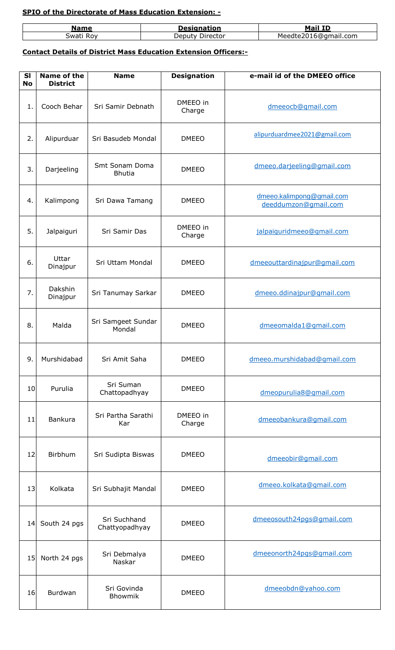### **SPIO of the Directorate of Mass Education Extension: -**

| Name       | <b>Designation</b> | <b>Mail ID</b>     |
|------------|--------------------|--------------------|
| Swati      | <i>D</i> eputy     | edte2016@gmail.com |
| <b>ROV</b> | Director           | Meedte,            |

### **Contact Details of District Mass Education Extension Officers:-**

| <b>SI</b><br><b>No</b> | <b>Name of the</b><br><b>District</b> | <b>Name</b>                     | <b>Designation</b> | e-mail id of the DMEEO office                     |
|------------------------|---------------------------------------|---------------------------------|--------------------|---------------------------------------------------|
| 1.                     | Cooch Behar                           | Sri Samir Debnath               | DMEEO in<br>Charge | dmeeocb@gmail.com                                 |
| 2.                     | Alipurduar                            | Sri Basudeb Mondal              | <b>DMEEO</b>       | alipurduardmee2021@gmail.com                      |
| 3.                     | Darjeeling                            | Smt Sonam Doma<br><b>Bhutia</b> | <b>DMEEO</b>       | dmeeo.darjeeling@gmail.com                        |
| 4.                     | Kalimpong                             | Sri Dawa Tamang                 | <b>DMEEO</b>       | dmeeo.kalimpong@gmail.com<br>deeddumzon@gmail.com |
| 5.                     | Jalpaiguri                            | Sri Samir Das                   | DMEEO in<br>Charge | jalpaiquridmeeo@qmail.com                         |
| 6.                     | Uttar<br>Dinajpur                     | Sri Uttam Mondal                | <b>DMEEO</b>       | dmeeouttardinajpur@gmail.com                      |
| 7.                     | Dakshin<br>Dinajpur                   | Sri Tanumay Sarkar              | <b>DMEEO</b>       | dmeeo.ddinajpur@gmail.com                         |
| 8.                     | Malda                                 | Sri Samgeet Sundar<br>Mondal    | <b>DMEEO</b>       | dmeeomalda1@gmail.com                             |
| 9.                     | Murshidabad                           | Sri Amit Saha                   | <b>DMEEO</b>       | dmeeo.murshidabad@qmail.com                       |
| 10                     | Purulia                               | Sri Suman<br>Chattopadhyay      | <b>DMEEO</b>       | dmeopurulia8@gmail.com                            |
| 11                     | Bankura                               | Sri Partha Sarathi<br>Kar       | DMEEO in<br>Charge | dmeeobankura@gmail.com                            |
| 12                     | Birbhum                               | Sri Sudipta Biswas              | <b>DMEEO</b>       | dmeeobir@gmail.com                                |
| 13                     | Kolkata                               | Sri Subhajit Mandal             | <b>DMEEO</b>       | dmeeo.kolkata@gmail.com                           |
| 14 <sub>1</sub>        | South 24 pgs                          | Sri Suchhand<br>Chattyopadhyay  | <b>DMEEO</b>       | dmeeosouth24pgs@gmail.com                         |
| 15 <sub>l</sub>        | North 24 pgs                          | Sri Debmalya<br>Naskar          | <b>DMEEO</b>       | dmeeonorth24pgs@gmail.com                         |
| 16                     | Burdwan                               | Sri Govinda<br>Bhowmik          | <b>DMEEO</b>       | dmeeobdn@yahoo.com                                |